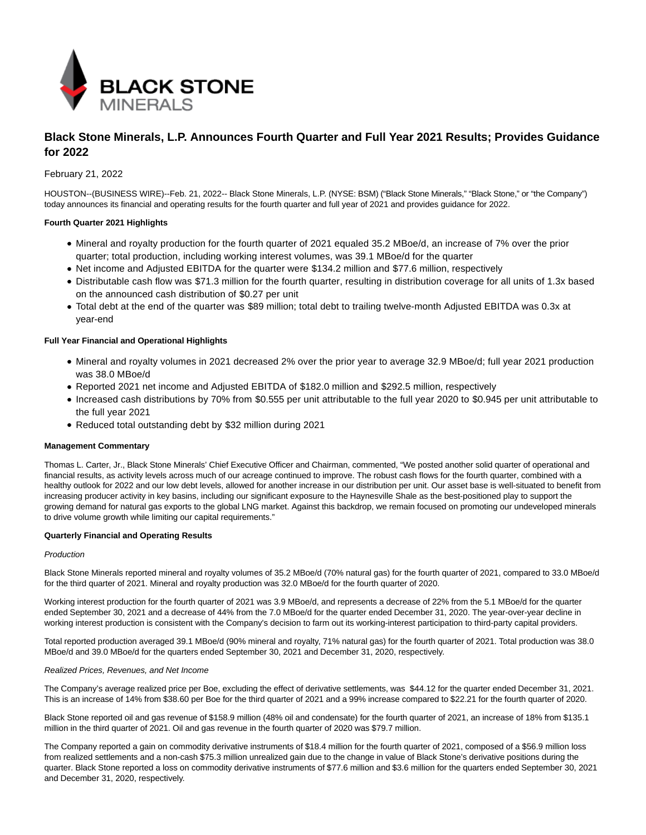

# **Black Stone Minerals, L.P. Announces Fourth Quarter and Full Year 2021 Results; Provides Guidance for 2022**

### February 21, 2022

HOUSTON--(BUSINESS WIRE)--Feb. 21, 2022-- Black Stone Minerals, L.P. (NYSE: BSM) ("Black Stone Minerals," "Black Stone," or "the Company") today announces its financial and operating results for the fourth quarter and full year of 2021 and provides guidance for 2022.

### **Fourth Quarter 2021 Highlights**

- Mineral and royalty production for the fourth quarter of 2021 equaled 35.2 MBoe/d, an increase of 7% over the prior quarter; total production, including working interest volumes, was 39.1 MBoe/d for the quarter
- Net income and Adjusted EBITDA for the quarter were \$134.2 million and \$77.6 million, respectively
- Distributable cash flow was \$71.3 million for the fourth quarter, resulting in distribution coverage for all units of 1.3x based on the announced cash distribution of \$0.27 per unit
- Total debt at the end of the quarter was \$89 million; total debt to trailing twelve-month Adjusted EBITDA was 0.3x at year-end

### **Full Year Financial and Operational Highlights**

- Mineral and royalty volumes in 2021 decreased 2% over the prior year to average 32.9 MBoe/d; full year 2021 production was 38.0 MBoe/d
- Reported 2021 net income and Adjusted EBITDA of \$182.0 million and \$292.5 million, respectively
- Increased cash distributions by 70% from \$0.555 per unit attributable to the full year 2020 to \$0.945 per unit attributable to the full year 2021
- Reduced total outstanding debt by \$32 million during 2021

### **Management Commentary**

Thomas L. Carter, Jr., Black Stone Minerals' Chief Executive Officer and Chairman, commented, "We posted another solid quarter of operational and financial results, as activity levels across much of our acreage continued to improve. The robust cash flows for the fourth quarter, combined with a healthy outlook for 2022 and our low debt levels, allowed for another increase in our distribution per unit. Our asset base is well-situated to benefit from increasing producer activity in key basins, including our significant exposure to the Haynesville Shale as the best-positioned play to support the growing demand for natural gas exports to the global LNG market. Against this backdrop, we remain focused on promoting our undeveloped minerals to drive volume growth while limiting our capital requirements."

#### **Quarterly Financial and Operating Results**

#### Production

Black Stone Minerals reported mineral and royalty volumes of 35.2 MBoe/d (70% natural gas) for the fourth quarter of 2021, compared to 33.0 MBoe/d for the third quarter of 2021. Mineral and royalty production was 32.0 MBoe/d for the fourth quarter of 2020.

Working interest production for the fourth quarter of 2021 was 3.9 MBoe/d, and represents a decrease of 22% from the 5.1 MBoe/d for the quarter ended September 30, 2021 and a decrease of 44% from the 7.0 MBoe/d for the quarter ended December 31, 2020. The year-over-year decline in working interest production is consistent with the Company's decision to farm out its working-interest participation to third-party capital providers.

Total reported production averaged 39.1 MBoe/d (90% mineral and royalty, 71% natural gas) for the fourth quarter of 2021. Total production was 38.0 MBoe/d and 39.0 MBoe/d for the quarters ended September 30, 2021 and December 31, 2020, respectively.

#### Realized Prices, Revenues, and Net Income

The Company's average realized price per Boe, excluding the effect of derivative settlements, was \$44.12 for the quarter ended December 31, 2021. This is an increase of 14% from \$38.60 per Boe for the third quarter of 2021 and a 99% increase compared to \$22.21 for the fourth quarter of 2020.

Black Stone reported oil and gas revenue of \$158.9 million (48% oil and condensate) for the fourth quarter of 2021, an increase of 18% from \$135.1 million in the third quarter of 2021. Oil and gas revenue in the fourth quarter of 2020 was \$79.7 million.

The Company reported a gain on commodity derivative instruments of \$18.4 million for the fourth quarter of 2021, composed of a \$56.9 million loss from realized settlements and a non-cash \$75.3 million unrealized gain due to the change in value of Black Stone's derivative positions during the quarter. Black Stone reported a loss on commodity derivative instruments of \$77.6 million and \$3.6 million for the quarters ended September 30, 2021 and December 31, 2020, respectively.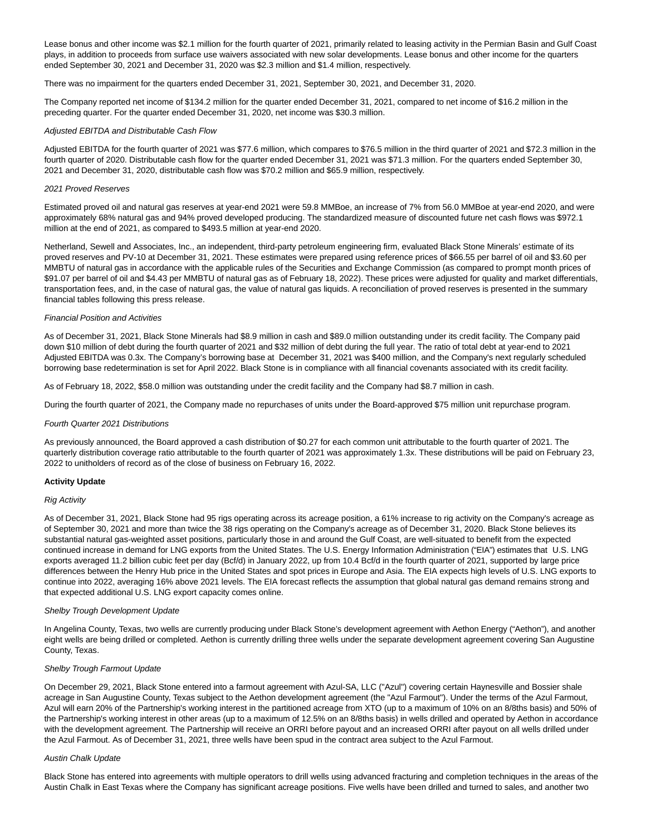Lease bonus and other income was \$2.1 million for the fourth quarter of 2021, primarily related to leasing activity in the Permian Basin and Gulf Coast plays, in addition to proceeds from surface use waivers associated with new solar developments. Lease bonus and other income for the quarters ended September 30, 2021 and December 31, 2020 was \$2.3 million and \$1.4 million, respectively.

There was no impairment for the quarters ended December 31, 2021, September 30, 2021, and December 31, 2020.

The Company reported net income of \$134.2 million for the quarter ended December 31, 2021, compared to net income of \$16.2 million in the preceding quarter. For the quarter ended December 31, 2020, net income was \$30.3 million.

#### Adjusted EBITDA and Distributable Cash Flow

Adjusted EBITDA for the fourth quarter of 2021 was \$77.6 million, which compares to \$76.5 million in the third quarter of 2021 and \$72.3 million in the fourth quarter of 2020. Distributable cash flow for the quarter ended December 31, 2021 was \$71.3 million. For the quarters ended September 30, 2021 and December 31, 2020, distributable cash flow was \$70.2 million and \$65.9 million, respectively.

#### 2021 Proved Reserves

Estimated proved oil and natural gas reserves at year-end 2021 were 59.8 MMBoe, an increase of 7% from 56.0 MMBoe at year-end 2020, and were approximately 68% natural gas and 94% proved developed producing. The standardized measure of discounted future net cash flows was \$972.1 million at the end of 2021, as compared to \$493.5 million at year-end 2020.

Netherland, Sewell and Associates, Inc., an independent, third-party petroleum engineering firm, evaluated Black Stone Minerals' estimate of its proved reserves and PV-10 at December 31, 2021. These estimates were prepared using reference prices of \$66.55 per barrel of oil and \$3.60 per MMBTU of natural gas in accordance with the applicable rules of the Securities and Exchange Commission (as compared to prompt month prices of \$91.07 per barrel of oil and \$4.43 per MMBTU of natural gas as of February 18, 2022). These prices were adjusted for quality and market differentials, transportation fees, and, in the case of natural gas, the value of natural gas liquids. A reconciliation of proved reserves is presented in the summary financial tables following this press release.

#### Financial Position and Activities

As of December 31, 2021, Black Stone Minerals had \$8.9 million in cash and \$89.0 million outstanding under its credit facility. The Company paid down \$10 million of debt during the fourth quarter of 2021 and \$32 million of debt during the full year. The ratio of total debt at year-end to 2021 Adjusted EBITDA was 0.3x. The Company's borrowing base at December 31, 2021 was \$400 million, and the Company's next regularly scheduled borrowing base redetermination is set for April 2022. Black Stone is in compliance with all financial covenants associated with its credit facility.

As of February 18, 2022, \$58.0 million was outstanding under the credit facility and the Company had \$8.7 million in cash.

During the fourth quarter of 2021, the Company made no repurchases of units under the Board-approved \$75 million unit repurchase program.

#### Fourth Quarter 2021 Distributions

As previously announced, the Board approved a cash distribution of \$0.27 for each common unit attributable to the fourth quarter of 2021. The quarterly distribution coverage ratio attributable to the fourth quarter of 2021 was approximately 1.3x. These distributions will be paid on February 23, 2022 to unitholders of record as of the close of business on February 16, 2022.

### **Activity Update**

#### Rig Activity

As of December 31, 2021, Black Stone had 95 rigs operating across its acreage position, a 61% increase to rig activity on the Company's acreage as of September 30, 2021 and more than twice the 38 rigs operating on the Company's acreage as of December 31, 2020. Black Stone believes its substantial natural gas-weighted asset positions, particularly those in and around the Gulf Coast, are well-situated to benefit from the expected continued increase in demand for LNG exports from the United States. The U.S. Energy Information Administration ("EIA") estimates that U.S. LNG exports averaged 11.2 billion cubic feet per day (Bcf/d) in January 2022, up from 10.4 Bcf/d in the fourth quarter of 2021, supported by large price differences between the Henry Hub price in the United States and spot prices in Europe and Asia. The EIA expects high levels of U.S. LNG exports to continue into 2022, averaging 16% above 2021 levels. The EIA forecast reflects the assumption that global natural gas demand remains strong and that expected additional U.S. LNG export capacity comes online.

### Shelby Trough Development Update

In Angelina County, Texas, two wells are currently producing under Black Stone's development agreement with Aethon Energy ("Aethon"), and another eight wells are being drilled or completed. Aethon is currently drilling three wells under the separate development agreement covering San Augustine County, Texas.

### Shelby Trough Farmout Update

On December 29, 2021, Black Stone entered into a farmout agreement with Azul-SA, LLC ("Azul") covering certain Haynesville and Bossier shale acreage in San Augustine County, Texas subject to the Aethon development agreement (the "Azul Farmout"). Under the terms of the Azul Farmout, Azul will earn 20% of the Partnership's working interest in the partitioned acreage from XTO (up to a maximum of 10% on an 8/8ths basis) and 50% of the Partnership's working interest in other areas (up to a maximum of 12.5% on an 8/8ths basis) in wells drilled and operated by Aethon in accordance with the development agreement. The Partnership will receive an ORRI before payout and an increased ORRI after payout on all wells drilled under the Azul Farmout. As of December 31, 2021, three wells have been spud in the contract area subject to the Azul Farmout.

#### Austin Chalk Update

Black Stone has entered into agreements with multiple operators to drill wells using advanced fracturing and completion techniques in the areas of the Austin Chalk in East Texas where the Company has significant acreage positions. Five wells have been drilled and turned to sales, and another two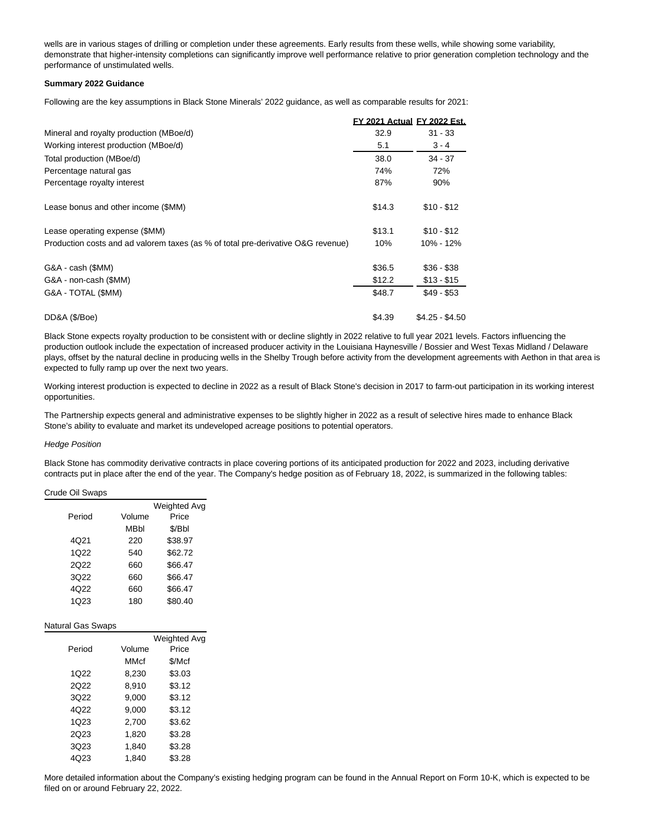wells are in various stages of drilling or completion under these agreements. Early results from these wells, while showing some variability, demonstrate that higher-intensity completions can significantly improve well performance relative to prior generation completion technology and the performance of unstimulated wells.

#### **Summary 2022 Guidance**

Following are the key assumptions in Black Stone Minerals' 2022 guidance, as well as comparable results for 2021:

|                                                                                  | FY 2021 Actual FY 2022 Est. |                 |
|----------------------------------------------------------------------------------|-----------------------------|-----------------|
| Mineral and royalty production (MBoe/d)                                          | 32.9                        | $31 - 33$       |
| Working interest production (MBoe/d)                                             | 5.1                         | $3 - 4$         |
| Total production (MBoe/d)                                                        | 38.0                        | $34 - 37$       |
| Percentage natural gas                                                           | 74%                         | 72%             |
| Percentage royalty interest                                                      | 87%                         | 90%             |
| Lease bonus and other income (\$MM)                                              | \$14.3                      | $$10 - $12$     |
| Lease operating expense (\$MM)                                                   | \$13.1                      | $$10 - $12$     |
| Production costs and ad valorem taxes (as % of total pre-derivative O&G revenue) | 10%                         | 10% - 12%       |
| G&A - cash (\$MM)                                                                | \$36.5                      | $$36 - $38$     |
| G&A - non-cash (\$MM)                                                            | \$12.2                      | $$13 - $15$     |
| G&A - TOTAL (\$MM)                                                               | \$48.7                      | $$49 - $53$     |
| DD&A (\$/Boe)                                                                    | \$4.39                      | $$4.25 - $4.50$ |

Black Stone expects royalty production to be consistent with or decline slightly in 2022 relative to full year 2021 levels. Factors influencing the production outlook include the expectation of increased producer activity in the Louisiana Haynesville / Bossier and West Texas Midland / Delaware plays, offset by the natural decline in producing wells in the Shelby Trough before activity from the development agreements with Aethon in that area is expected to fully ramp up over the next two years.

Working interest production is expected to decline in 2022 as a result of Black Stone's decision in 2017 to farm-out participation in its working interest opportunities.

The Partnership expects general and administrative expenses to be slightly higher in 2022 as a result of selective hires made to enhance Black Stone's ability to evaluate and market its undeveloped acreage positions to potential operators.

### Hedge Position

Black Stone has commodity derivative contracts in place covering portions of its anticipated production for 2022 and 2023, including derivative contracts put in place after the end of the year. The Company's hedge position as of February 18, 2022, is summarized in the following tables:

#### Crude Oil Swaps

|        |        | <b>Weighted Avg</b> |
|--------|--------|---------------------|
| Period | Volume | Price               |
|        | MBbl   | \$/Bbl              |
| 4Q21   | 220    | \$38.97             |
| 1022   | 540    | \$62.72             |
| 2Q22   | 660    | \$66.47             |
| 3Q22   | 660    | \$66.47             |
| 4Q22   | 660    | \$66.47             |
| 1023   | 180    | \$80.40             |
|        |        |                     |

#### Natural Gas Swaps

|        |             | <b>Weighted Avg</b> |
|--------|-------------|---------------------|
| Period | Volume      | Price               |
|        | <b>MMcf</b> | \$/Mcf              |
| 1022   | 8,230       | \$3.03              |
| 2Q22   | 8,910       | \$3.12              |
| 3Q22   | 9.000       | \$3.12              |
| 4Q22   | 9,000       | \$3.12              |
| 1Q23   | 2,700       | \$3.62              |
| 2Q23   | 1,820       | \$3.28              |
| 3Q23   | 1.840       | \$3.28              |
| 4Q23   | 1.840       | \$3.28              |
|        |             |                     |

More detailed information about the Company's existing hedging program can be found in the Annual Report on Form 10-K, which is expected to be filed on or around February 22, 2022.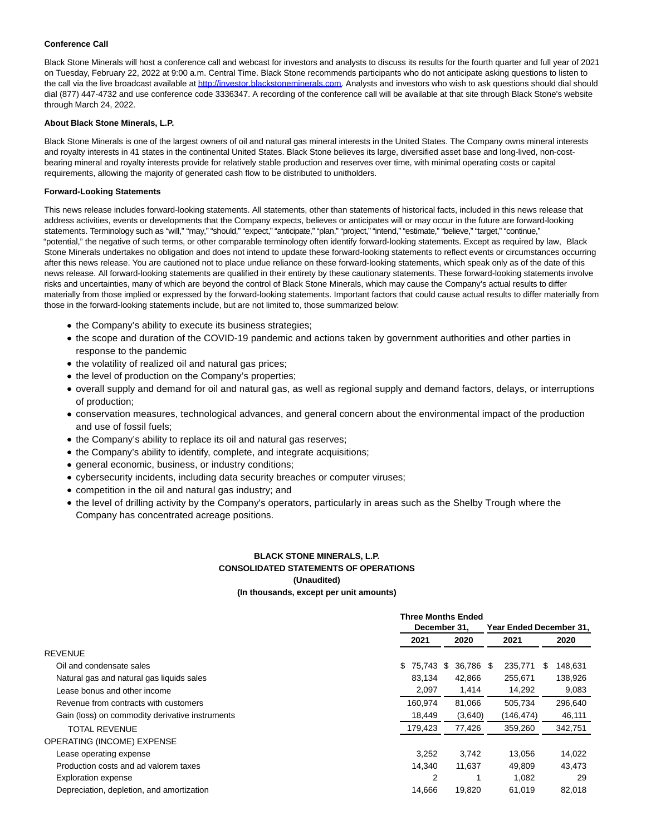### **Conference Call**

Black Stone Minerals will host a conference call and webcast for investors and analysts to discuss its results for the fourth quarter and full year of 2021 on Tuesday, February 22, 2022 at 9:00 a.m. Central Time. Black Stone recommends participants who do not anticipate asking questions to listen to the call via the live broadcast available at [http://investor.blackstoneminerals.com.](https://cts.businesswire.com/ct/CT?id=smartlink&url=http%3A%2F%2Finvestor.blackstoneminerals.com&esheet=52582555&newsitemid=20220221005289&lan=en-US&anchor=http%3A%2F%2Finvestor.blackstoneminerals.com&index=1&md5=50e952a344495b96b6dad56ac076a7bf) Analysts and investors who wish to ask questions should dial should dial (877) 447-4732 and use conference code 3336347. A recording of the conference call will be available at that site through Black Stone's website through March 24, 2022.

### **About Black Stone Minerals, L.P.**

Black Stone Minerals is one of the largest owners of oil and natural gas mineral interests in the United States. The Company owns mineral interests and royalty interests in 41 states in the continental United States. Black Stone believes its large, diversified asset base and long-lived, non-costbearing mineral and royalty interests provide for relatively stable production and reserves over time, with minimal operating costs or capital requirements, allowing the majority of generated cash flow to be distributed to unitholders.

### **Forward-Looking Statements**

This news release includes forward-looking statements. All statements, other than statements of historical facts, included in this news release that address activities, events or developments that the Company expects, believes or anticipates will or may occur in the future are forward-looking statements. Terminology such as "will," "may," "should," "expect," "anticipate," "plan," "project," "intend," "estimate," "believe," "target," "continue," "potential," the negative of such terms, or other comparable terminology often identify forward-looking statements. Except as required by law, Black Stone Minerals undertakes no obligation and does not intend to update these forward-looking statements to reflect events or circumstances occurring after this news release. You are cautioned not to place undue reliance on these forward-looking statements, which speak only as of the date of this news release. All forward-looking statements are qualified in their entirety by these cautionary statements. These forward-looking statements involve risks and uncertainties, many of which are beyond the control of Black Stone Minerals, which may cause the Company's actual results to differ materially from those implied or expressed by the forward-looking statements. Important factors that could cause actual results to differ materially from those in the forward-looking statements include, but are not limited to, those summarized below:

- the Company's ability to execute its business strategies;
- the scope and duration of the COVID-19 pandemic and actions taken by government authorities and other parties in response to the pandemic
- the volatility of realized oil and natural gas prices;
- the level of production on the Company's properties;
- overall supply and demand for oil and natural gas, as well as regional supply and demand factors, delays, or interruptions of production;
- conservation measures, technological advances, and general concern about the environmental impact of the production and use of fossil fuels;
- the Company's ability to replace its oil and natural gas reserves;
- the Company's ability to identify, complete, and integrate acquisitions;
- general economic, business, or industry conditions;
- cybersecurity incidents, including data security breaches or computer viruses;
- competition in the oil and natural gas industry; and
- the level of drilling activity by the Company's operators, particularly in areas such as the Shelby Trough where the Company has concentrated acreage positions.

# **BLACK STONE MINERALS, L.P. CONSOLIDATED STATEMENTS OF OPERATIONS (Unaudited) (In thousands, except per unit amounts)**

|                                                 |              | <b>Three Months Ended</b><br>December 31, | Year Ended December 31, |                |  |
|-------------------------------------------------|--------------|-------------------------------------------|-------------------------|----------------|--|
|                                                 | 2021         | 2020                                      | 2021                    | 2020           |  |
| <b>REVENUE</b>                                  |              |                                           |                         |                |  |
| Oil and condensate sales                        | 75.743<br>\$ | \$<br>36,786 \$                           | 235,771                 | 148,631<br>\$. |  |
| Natural gas and natural gas liquids sales       | 83,134       | 42,866                                    | 255,671                 | 138,926        |  |
| Lease bonus and other income                    | 2,097        | 1,414                                     | 14,292                  | 9,083          |  |
| Revenue from contracts with customers           | 160.974      | 81,066                                    | 505,734                 | 296,640        |  |
| Gain (loss) on commodity derivative instruments | 18,449       | (3,640)                                   | (146, 474)              | 46,111         |  |
| <b>TOTAL REVENUE</b>                            | 179,423      | 77,426                                    | 359,260                 | 342,751        |  |
| <b>OPERATING (INCOME) EXPENSE</b>               |              |                                           |                         |                |  |
| Lease operating expense                         | 3.252        | 3.742                                     | 13,056                  | 14,022         |  |
| Production costs and ad valorem taxes           | 14,340       | 11,637                                    | 49.809                  | 43,473         |  |
| <b>Exploration expense</b>                      | 2            |                                           | 1,082                   | 29             |  |
| Depreciation, depletion, and amortization       | 14.666       | 19.820                                    | 61,019                  | 82,018         |  |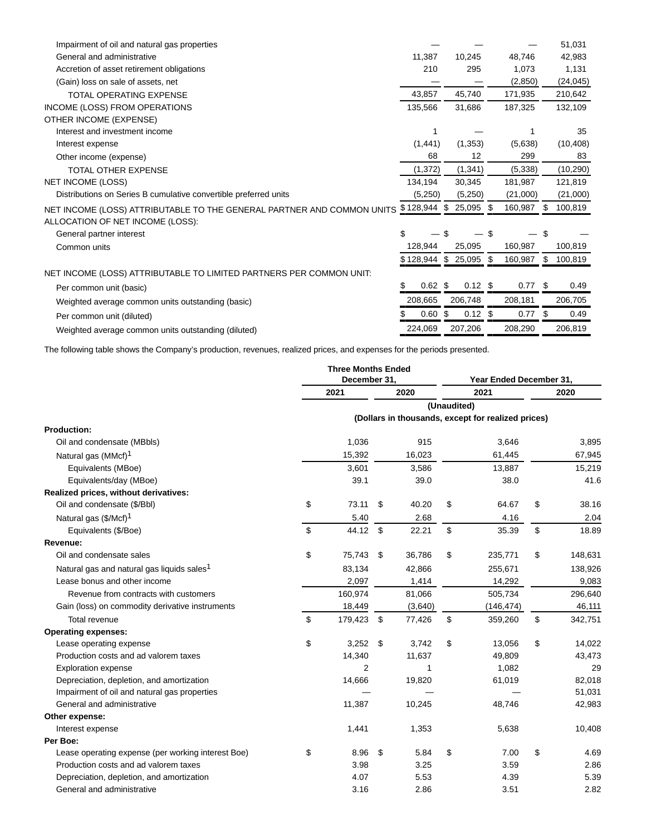| Impairment of oil and natural gas properties                           |              |                            |               | 51,031         |
|------------------------------------------------------------------------|--------------|----------------------------|---------------|----------------|
| General and administrative                                             | 11,387       | 10,245                     | 48,746        | 42,983         |
| Accretion of asset retirement obligations                              | 210          | 295                        | 1,073         | 1,131          |
| (Gain) loss on sale of assets, net                                     |              |                            | (2,850)       | (24, 045)      |
| <b>TOTAL OPERATING EXPENSE</b>                                         | 43,857       | 45,740                     | 171,935       | 210,642        |
| INCOME (LOSS) FROM OPERATIONS                                          | 135,566      | 31,686                     | 187,325       | 132,109        |
| OTHER INCOME (EXPENSE)                                                 |              |                            |               |                |
| Interest and investment income                                         |              |                            |               | 35             |
| Interest expense                                                       | (1,441)      | (1,353)                    | (5,638)       | (10, 408)      |
| Other income (expense)                                                 | 68           | 12                         | 299           | 83             |
| <b>TOTAL OTHER EXPENSE</b>                                             | (1, 372)     | (1,341)                    | (5,338)       | (10, 290)      |
| NET INCOME (LOSS)                                                      | 134,194      | 30,345                     | 181,987       | 121,819        |
| Distributions on Series B cumulative convertible preferred units       | (5,250)      | (5,250)                    | (21,000)      | (21,000)       |
| NET INCOME (LOSS) ATTRIBUTABLE TO THE GENERAL PARTNER AND COMMON UNITS | \$128,944    | \$<br>25,095               | 160,987<br>\$ | 100,819<br>S   |
| ALLOCATION OF NET INCOME (LOSS):                                       |              |                            |               |                |
| General partner interest                                               | \$           | \$                         | \$            | S              |
| Common units                                                           | 128,944      | 25,095                     | 160,987       | 100,819        |
|                                                                        | \$128,944    | \$25,095                   | \$<br>160,987 | 100,819<br>\$. |
| NET INCOME (LOSS) ATTRIBUTABLE TO LIMITED PARTNERS PER COMMON UNIT:    |              |                            |               |                |
| Per common unit (basic)                                                | S<br>0.62~\$ | $0.12$ \$                  | $0.77$ \$     | 0.49           |
| Weighted average common units outstanding (basic)                      | 208,665      | 206,748                    | 208,181       | 206,705        |
| Per common unit (diluted)                                              | 0.60         | $0.12 \text{ }$ \$<br>- \$ | 0.77          | \$<br>0.49     |
| Weighted average common units outstanding (diluted)                    | 224,069      | 207,206                    | 208,290       | 206,819        |
|                                                                        |              |                            |               |                |

The following table shows the Company's production, revenues, realized prices, and expenses for the periods presented.

|                                                        | <b>Three Months Ended</b><br>December 31,          |    |         |      | Year Ended December 31, |    |         |
|--------------------------------------------------------|----------------------------------------------------|----|---------|------|-------------------------|----|---------|
|                                                        | 2021<br>2020                                       |    |         | 2021 | 2020                    |    |         |
|                                                        | (Unaudited)                                        |    |         |      |                         |    |         |
|                                                        | (Dollars in thousands, except for realized prices) |    |         |      |                         |    |         |
| <b>Production:</b>                                     |                                                    |    |         |      |                         |    |         |
| Oil and condensate (MBbls)                             | 1,036                                              |    | 915     |      | 3,646                   |    | 3,895   |
| Natural gas (MMcf) <sup>1</sup>                        | 15,392                                             |    | 16,023  |      | 61,445                  |    | 67,945  |
| Equivalents (MBoe)                                     | 3,601                                              |    | 3,586   |      | 13,887                  |    | 15,219  |
| Equivalents/day (MBoe)                                 | 39.1                                               |    | 39.0    |      | 38.0                    |    | 41.6    |
| Realized prices, without derivatives:                  |                                                    |    |         |      |                         |    |         |
| Oil and condensate (\$/Bbl)                            | \$<br>73.11                                        | \$ | 40.20   | \$   | 64.67                   | \$ | 38.16   |
| Natural gas (\$/Mcf) <sup>1</sup>                      | 5.40                                               |    | 2.68    |      | 4.16                    |    | 2.04    |
| Equivalents (\$/Boe)                                   | \$<br>44.12                                        | \$ | 22.21   | \$   | 35.39                   | \$ | 18.89   |
| Revenue:                                               |                                                    |    |         |      |                         |    |         |
| Oil and condensate sales                               | \$<br>75,743                                       | \$ | 36,786  | \$   | 235,771                 | \$ | 148,631 |
| Natural gas and natural gas liquids sales <sup>1</sup> | 83,134                                             |    | 42,866  |      | 255,671                 |    | 138,926 |
| Lease bonus and other income                           | 2,097                                              |    | 1,414   |      | 14,292                  |    | 9,083   |
| Revenue from contracts with customers                  | 160,974                                            |    | 81,066  |      | 505,734                 |    | 296,640 |
| Gain (loss) on commodity derivative instruments        | 18,449                                             |    | (3,640) |      | (146, 474)              |    | 46,111  |
| Total revenue                                          | \$<br>179,423                                      | \$ | 77,426  | \$   | 359,260                 | \$ | 342,751 |
| <b>Operating expenses:</b>                             |                                                    |    |         |      |                         |    |         |
| Lease operating expense                                | \$<br>3,252                                        | \$ | 3,742   | \$   | 13,056                  | \$ | 14,022  |
| Production costs and ad valorem taxes                  | 14,340                                             |    | 11,637  |      | 49,809                  |    | 43,473  |
| <b>Exploration expense</b>                             | $\overline{2}$                                     |    | 1       |      | 1,082                   |    | 29      |
| Depreciation, depletion, and amortization              | 14,666                                             |    | 19,820  |      | 61,019                  |    | 82,018  |
| Impairment of oil and natural gas properties           |                                                    |    |         |      |                         |    | 51,031  |
| General and administrative                             | 11,387                                             |    | 10,245  |      | 48,746                  |    | 42,983  |
| Other expense:                                         |                                                    |    |         |      |                         |    |         |
| Interest expense                                       | 1,441                                              |    | 1,353   |      | 5,638                   |    | 10,408  |
| Per Boe:                                               |                                                    |    |         |      |                         |    |         |
| Lease operating expense (per working interest Boe)     | \$<br>8.96                                         | \$ | 5.84    | \$   | 7.00                    | \$ | 4.69    |
| Production costs and ad valorem taxes                  | 3.98                                               |    | 3.25    |      | 3.59                    |    | 2.86    |
| Depreciation, depletion, and amortization              | 4.07                                               |    | 5.53    |      | 4.39                    |    | 5.39    |
| General and administrative                             | 3.16                                               |    | 2.86    |      | 3.51                    |    | 2.82    |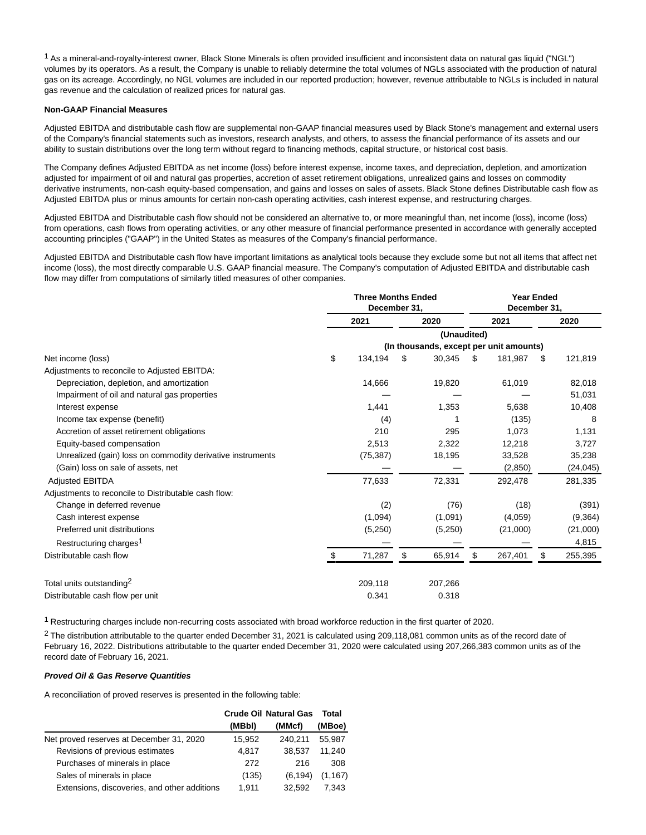<sup>1</sup> As a mineral-and-royalty-interest owner, Black Stone Minerals is often provided insufficient and inconsistent data on natural gas liquid ("NGL") volumes by its operators. As a result, the Company is unable to reliably determine the total volumes of NGLs associated with the production of natural gas on its acreage. Accordingly, no NGL volumes are included in our reported production; however, revenue attributable to NGLs is included in natural gas revenue and the calculation of realized prices for natural gas.

### **Non-GAAP Financial Measures**

Adjusted EBITDA and distributable cash flow are supplemental non-GAAP financial measures used by Black Stone's management and external users of the Company's financial statements such as investors, research analysts, and others, to assess the financial performance of its assets and our ability to sustain distributions over the long term without regard to financing methods, capital structure, or historical cost basis.

The Company defines Adjusted EBITDA as net income (loss) before interest expense, income taxes, and depreciation, depletion, and amortization adjusted for impairment of oil and natural gas properties, accretion of asset retirement obligations, unrealized gains and losses on commodity derivative instruments, non-cash equity-based compensation, and gains and losses on sales of assets. Black Stone defines Distributable cash flow as Adjusted EBITDA plus or minus amounts for certain non-cash operating activities, cash interest expense, and restructuring charges.

Adjusted EBITDA and Distributable cash flow should not be considered an alternative to, or more meaningful than, net income (loss), income (loss) from operations, cash flows from operating activities, or any other measure of financial performance presented in accordance with generally accepted accounting principles ("GAAP") in the United States as measures of the Company's financial performance.

Adjusted EBITDA and Distributable cash flow have important limitations as analytical tools because they exclude some but not all items that affect net income (loss), the most directly comparable U.S. GAAP financial measure. The Company's computation of Adjusted EBITDA and distributable cash flow may differ from computations of similarly titled measures of other companies.

|                                                            |     | <b>Three Months Ended</b><br>December 31, |    |             | <b>Year Ended</b><br>December 31, |                                         |      |           |  |
|------------------------------------------------------------|-----|-------------------------------------------|----|-------------|-----------------------------------|-----------------------------------------|------|-----------|--|
|                                                            |     | 2021<br>2020                              |    |             | 2021                              |                                         | 2020 |           |  |
|                                                            |     |                                           |    | (Unaudited) |                                   |                                         |      |           |  |
|                                                            |     |                                           |    |             |                                   | (In thousands, except per unit amounts) |      |           |  |
| Net income (loss)                                          | \$  | 134,194                                   | \$ | 30,345      | \$.                               | 181,987                                 | S    | 121,819   |  |
| Adjustments to reconcile to Adjusted EBITDA:               |     |                                           |    |             |                                   |                                         |      |           |  |
| Depreciation, depletion, and amortization                  |     | 14,666                                    |    | 19,820      |                                   | 61,019                                  |      | 82,018    |  |
| Impairment of oil and natural gas properties               |     |                                           |    |             |                                   |                                         |      | 51,031    |  |
| Interest expense                                           |     | 1,441                                     |    | 1,353       |                                   | 5,638                                   |      | 10,408    |  |
| Income tax expense (benefit)                               |     | (4)                                       |    |             |                                   | (135)                                   |      | 8         |  |
| Accretion of asset retirement obligations                  |     | 210                                       |    | 295         |                                   | 1,073                                   |      | 1,131     |  |
| Equity-based compensation                                  |     | 2,513                                     |    | 2,322       |                                   | 12,218                                  |      | 3,727     |  |
| Unrealized (gain) loss on commodity derivative instruments |     | (75, 387)                                 |    | 18,195      |                                   | 33,528                                  |      | 35,238    |  |
| (Gain) loss on sale of assets, net                         |     |                                           |    |             |                                   | (2,850)                                 |      | (24, 045) |  |
| <b>Adjusted EBITDA</b>                                     |     | 77,633                                    |    | 72,331      |                                   | 292,478                                 |      | 281,335   |  |
| Adjustments to reconcile to Distributable cash flow:       |     |                                           |    |             |                                   |                                         |      |           |  |
| Change in deferred revenue                                 |     | (2)                                       |    | (76)        |                                   | (18)                                    |      | (391)     |  |
| Cash interest expense                                      |     | (1,094)                                   |    | (1,091)     |                                   | (4,059)                                 |      | (9,364)   |  |
| Preferred unit distributions                               |     | (5,250)                                   |    | (5,250)     |                                   | (21,000)                                |      | (21,000)  |  |
| Restructuring charges <sup>1</sup>                         |     |                                           |    |             |                                   |                                         |      | 4,815     |  |
| Distributable cash flow                                    | \$. | 71,287                                    | \$ | 65,914      | \$                                | 267,401                                 | \$   | 255,395   |  |
| Total units outstanding <sup>2</sup>                       |     | 209,118                                   |    | 207,266     |                                   |                                         |      |           |  |
| Distributable cash flow per unit                           |     | 0.341                                     |    | 0.318       |                                   |                                         |      |           |  |

<sup>1</sup> Restructuring charges include non-recurring costs associated with broad workforce reduction in the first quarter of 2020.

 $2$  The distribution attributable to the quarter ended December 31, 2021 is calculated using 209,118,081 common units as of the record date of February 16, 2022. Distributions attributable to the quarter ended December 31, 2020 were calculated using 207,266,383 common units as of the record date of February 16, 2021.

#### **Proved Oil & Gas Reserve Quantities**

A reconciliation of proved reserves is presented in the following table:

|                                              |        | <b>Crude Oil Natural Gas</b> | Total    |
|----------------------------------------------|--------|------------------------------|----------|
|                                              | (MBbI) | (MMcf)                       | (MBoe)   |
| Net proved reserves at December 31, 2020     | 15,952 | 240.211                      | 55.987   |
| Revisions of previous estimates              | 4,817  | 38.537                       | 11.240   |
| Purchases of minerals in place               | 272    | 216                          | 308      |
| Sales of minerals in place                   | (135)  | (6, 194)                     | (1, 167) |
| Extensions, discoveries, and other additions | 1.911  | 32.592                       | 7.343    |